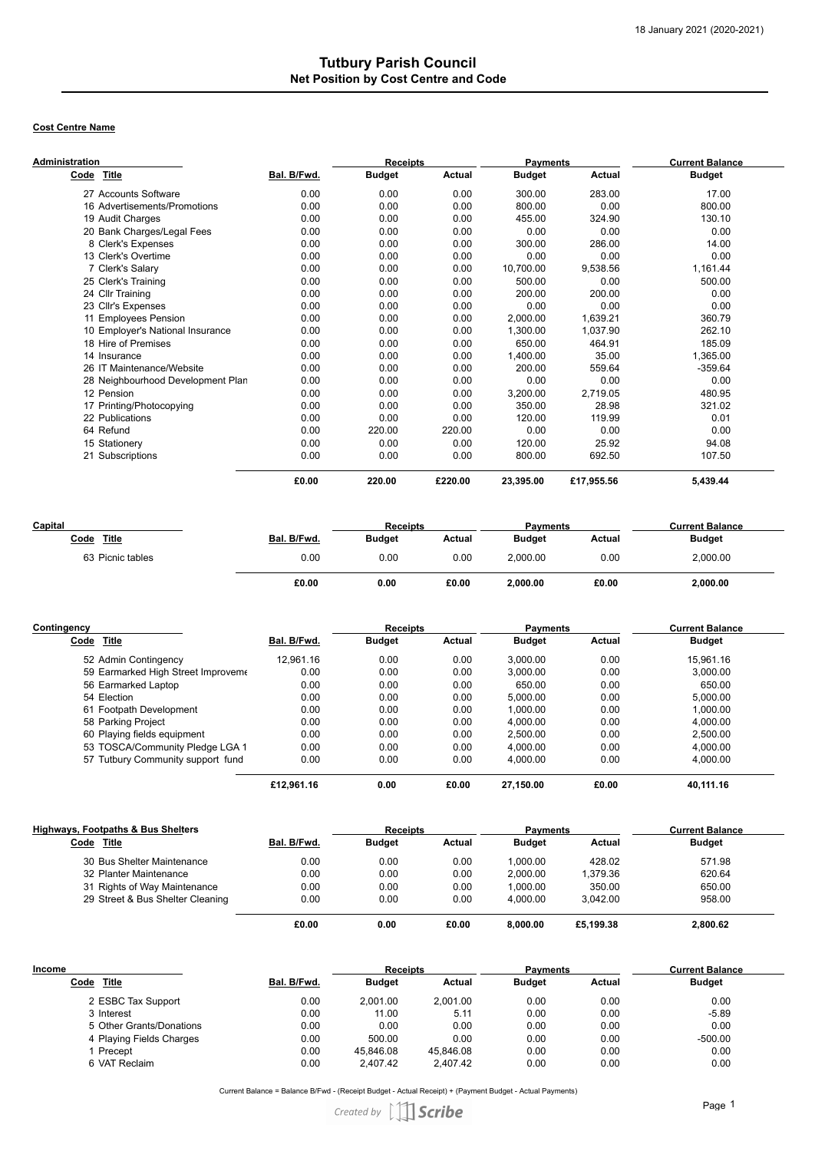## **Tutbury Parish Council Net Position by Cost Centre and Code**

## **Cost Centre Name**

| <b>Administration</b>             | <b>Receipts</b> |               |         | <b>Payments</b> |            | <b>Current Balance</b> |
|-----------------------------------|-----------------|---------------|---------|-----------------|------------|------------------------|
| Title<br>Code                     | Bal. B/Fwd.     | <b>Budget</b> | Actual  | <b>Budget</b>   | Actual     | <b>Budget</b>          |
| 27 Accounts Software              | 0.00            | 0.00          | 0.00    | 300.00          | 283.00     | 17.00                  |
| 16 Advertisements/Promotions      | 0.00            | 0.00          | 0.00    | 800.00          | 0.00       | 800.00                 |
| 19 Audit Charges                  | 0.00            | 0.00          | 0.00    | 455.00          | 324.90     | 130.10                 |
| 20 Bank Charges/Legal Fees        | 0.00            | 0.00          | 0.00    | 0.00            | 0.00       | 0.00                   |
| 8 Clerk's Expenses                | 0.00            | 0.00          | 0.00    | 300.00          | 286.00     | 14.00                  |
| 13 Clerk's Overtime               | 0.00            | 0.00          | 0.00    | 0.00            | 0.00       | 0.00                   |
| 7 Clerk's Salary                  | 0.00            | 0.00          | 0.00    | 10,700.00       | 9,538.56   | 1,161.44               |
| 25 Clerk's Training               | 0.00            | 0.00          | 0.00    | 500.00          | 0.00       | 500.00                 |
| 24 Cllr Training                  | 0.00            | 0.00          | 0.00    | 200.00          | 200.00     | 0.00                   |
| 23 Cllr's Expenses                | 0.00            | 0.00          | 0.00    | 0.00            | 0.00       | 0.00                   |
| 11 Employees Pension              | 0.00            | 0.00          | 0.00    | 2,000.00        | 1,639.21   | 360.79                 |
| 10 Employer's National Insurance  | 0.00            | 0.00          | 0.00    | 1,300.00        | 1,037.90   | 262.10                 |
| 18 Hire of Premises               | 0.00            | 0.00          | 0.00    | 650.00          | 464.91     | 185.09                 |
| 14 Insurance                      | 0.00            | 0.00          | 0.00    | 1,400.00        | 35.00      | 1,365.00               |
| 26 IT Maintenance/Website         | 0.00            | 0.00          | 0.00    | 200.00          | 559.64     | $-359.64$              |
| 28 Neighbourhood Development Plan | 0.00            | 0.00          | 0.00    | 0.00            | 0.00       | 0.00                   |
| 12 Pension                        | 0.00            | 0.00          | 0.00    | 3,200.00        | 2,719.05   | 480.95                 |
| 17 Printing/Photocopying          | 0.00            | 0.00          | 0.00    | 350.00          | 28.98      | 321.02                 |
| 22 Publications                   | 0.00            | 0.00          | 0.00    | 120.00          | 119.99     | 0.01                   |
| 64 Refund                         | 0.00            | 220.00        | 220.00  | 0.00            | 0.00       | 0.00                   |
| 15 Stationery                     | 0.00            | 0.00          | 0.00    | 120.00          | 25.92      | 94.08                  |
| 21 Subscriptions                  | 0.00            | 0.00          | 0.00    | 800.00          | 692.50     | 107.50                 |
|                                   | £0.00           | 220.00        | £220.00 | 23,395.00       | £17,955.56 | 5,439.44               |

| Capital          |             | <b>Receipts</b> |        | <b>Payments</b> |        | <b>Current Balance</b> |  |
|------------------|-------------|-----------------|--------|-----------------|--------|------------------------|--|
| Title<br>Code    | Bal. B/Fwd. | <b>Budget</b>   | Actual | <b>Budget</b>   | Actual | <b>Budget</b>          |  |
| 63 Picnic tables | 0.00        | 0.00            | 0.00   | 2.000.00        | 0.00   | 2.000.00               |  |
|                  | £0.00       | 0.00            | £0.00  | 2.000.00        | £0.00  | 2.000.00               |  |

| Contingency                        |             | <b>Receipts</b> |        | <b>Payments</b> |               | <b>Current Balance</b> |
|------------------------------------|-------------|-----------------|--------|-----------------|---------------|------------------------|
| Code Title                         | Bal. B/Fwd. | <b>Budget</b>   | Actual | <b>Budget</b>   | <b>Actual</b> | <b>Budget</b>          |
| 52 Admin Contingency               | 12.961.16   | 0.00            | 0.00   | 3.000.00        | 0.00          | 15.961.16              |
| 59 Earmarked High Street Improveme | 0.00        | 0.00            | 0.00   | 3.000.00        | 0.00          | 3.000.00               |
| 56 Earmarked Laptop                | 0.00        | 0.00            | 0.00   | 650.00          | 0.00          | 650.00                 |
| 54 Election                        | 0.00        | 0.00            | 0.00   | 5.000.00        | 0.00          | 5.000.00               |
| 61 Footpath Development            | 0.00        | 0.00            | 0.00   | 1.000.00        | 0.00          | 1.000.00               |
| 58 Parking Project                 | 0.00        | 0.00            | 0.00   | 4.000.00        | 0.00          | 4.000.00               |
| 60 Playing fields equipment        | 0.00        | 0.00            | 0.00   | 2.500.00        | 0.00          | 2,500.00               |
| 53 TOSCA/Community Pledge LGA 1    | 0.00        | 0.00            | 0.00   | 4.000.00        | 0.00          | 4.000.00               |
| 57 Tutbury Community support fund  | 0.00        | 0.00            | 0.00   | 4.000.00        | 0.00          | 4,000.00               |
|                                    | £12.961.16  | 0.00            | £0.00  | 27.150.00       | £0.00         | 40.111.16              |

| Highways, Footpaths & Bus Shelters |             | <b>Receipts</b> |        | <b>Payments</b> |               | <b>Current Balance</b> |
|------------------------------------|-------------|-----------------|--------|-----------------|---------------|------------------------|
| Code<br>Title                      | Bal. B/Fwd. | <b>Budget</b>   | Actual | <b>Budget</b>   | <b>Actual</b> | <b>Budget</b>          |
| 30 Bus Shelter Maintenance         | 0.00        | 0.00            | 0.00   | 1.000.00        | 428.02        | 571.98                 |
| 32 Planter Maintenance             | 0.00        | 0.00            | 0.00   | 2.000.00        | 1.379.36      | 620.64                 |
| 31 Rights of Way Maintenance       | 0.00        | 0.00            | 0.00   | 1.000.00        | 350.00        | 650.00                 |
| 29 Street & Bus Shelter Cleaning   | 0.00        | 0.00            | 0.00   | 4.000.00        | 3.042.00      | 958.00                 |
|                                    | £0.00       | 0.00            | £0.00  | 8.000.00        | £5.199.38     | 2.800.62               |

| Income                   |             | <b>Receipts</b> |           | <b>Payments</b> |               | <b>Current Balance</b> |
|--------------------------|-------------|-----------------|-----------|-----------------|---------------|------------------------|
| <b>Title</b><br>Code     | Bal. B/Fwd. | <b>Budget</b>   | Actual    | <b>Budget</b>   | <b>Actual</b> | <b>Budget</b>          |
| 2 ESBC Tax Support       | 0.00        | 2.001.00        | 2.001.00  | 0.00            | 0.00          | 0.00                   |
| 3 Interest               | 0.00        | 11.00           | 5.11      | 0.00            | 0.00          | $-5.89$                |
| 5 Other Grants/Donations | 0.00        | 0.00            | 0.00      | 0.00            | 0.00          | 0.00                   |
| 4 Playing Fields Charges | 0.00        | 500.00          | 0.00      | 0.00            | 0.00          | $-500.00$              |
| Precept                  | 0.00        | 45.846.08       | 45.846.08 | 0.00            | 0.00          | 0.00                   |
| 6 VAT Reclaim            | 0.00        | 2,407.42        | 2,407.42  | 0.00            | 0.00          | 0.00                   |

Current Balance = Balance B/Fwd - (Receipt Budget - Actual Receipt) + (Payment Budget - Actual Payments)